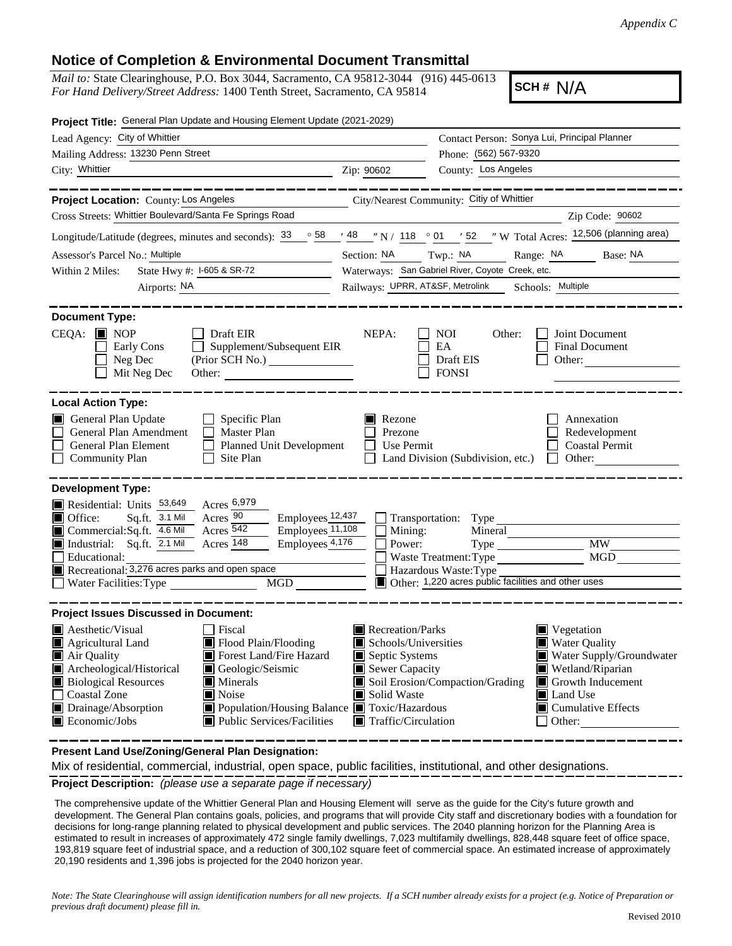## **Notice of Completion & Environmental Document Transmittal**

*Mail to:* State Clearinghouse, P.O. Box 3044, Sacramento, CA 95812-3044 (916) 445-0613 *For Hand Delivery/Street Address:* 1400 Tenth Street, Sacramento, CA 95814

**SCH #** N/A

| Project Title: General Plan Update and Housing Element Update (2021-2029)                                                                                                                                                                                                                                                                                                                                  |                                                                                                                                   |                                                                                                                                                                                                                      |  |  |
|------------------------------------------------------------------------------------------------------------------------------------------------------------------------------------------------------------------------------------------------------------------------------------------------------------------------------------------------------------------------------------------------------------|-----------------------------------------------------------------------------------------------------------------------------------|----------------------------------------------------------------------------------------------------------------------------------------------------------------------------------------------------------------------|--|--|
| Lead Agency: City of Whittier                                                                                                                                                                                                                                                                                                                                                                              |                                                                                                                                   | Contact Person: Sonya Lui, Principal Planner                                                                                                                                                                         |  |  |
| Mailing Address: 13230 Penn Street                                                                                                                                                                                                                                                                                                                                                                         |                                                                                                                                   | Phone: (562) 567-9320                                                                                                                                                                                                |  |  |
| City: Whittier                                                                                                                                                                                                                                                                                                                                                                                             | Zip: 90602                                                                                                                        | County: Los Angeles                                                                                                                                                                                                  |  |  |
|                                                                                                                                                                                                                                                                                                                                                                                                            |                                                                                                                                   |                                                                                                                                                                                                                      |  |  |
| Project Location: County: Los Angeles                                                                                                                                                                                                                                                                                                                                                                      |                                                                                                                                   | City/Nearest Community: Citiy of Whittier                                                                                                                                                                            |  |  |
| Cross Streets: Whittier Boulevard/Santa Fe Springs Road                                                                                                                                                                                                                                                                                                                                                    |                                                                                                                                   | Zip Code: 90602                                                                                                                                                                                                      |  |  |
| Longitude/Latitude (degrees, minutes and seconds): $33 \cdot 58$                                                                                                                                                                                                                                                                                                                                           |                                                                                                                                   | $\frac{1}{2}$ 48 $\frac{1}{2}$ N / 118 $\degree$ 01 $\degree$ 52 $\degree$ W Total Acres: 12,506 (planning area)                                                                                                     |  |  |
| Assessor's Parcel No.: Multiple                                                                                                                                                                                                                                                                                                                                                                            | Section: NA Twp.: NA                                                                                                              | Range: NA Base: NA                                                                                                                                                                                                   |  |  |
| State Hwy #: 1-605 & SR-72<br>Within 2 Miles:                                                                                                                                                                                                                                                                                                                                                              |                                                                                                                                   | Waterways: San Gabriel River, Coyote Creek, etc.                                                                                                                                                                     |  |  |
| Airports: NA<br><u> 1980 - Jan Samuel Barbara, martin di</u>                                                                                                                                                                                                                                                                                                                                               | Railways: UPRR, AT&SF, Metrolink Schools: Multiple                                                                                |                                                                                                                                                                                                                      |  |  |
| <b>Document Type:</b><br>$CEQA:$ MOP<br>Draft EIR<br>$\Box$ Supplement/Subsequent EIR<br>Early Cons<br>Neg Dec<br>(Prior SCH No.)<br>Mit Neg Dec<br>Other:                                                                                                                                                                                                                                                 | NEPA:                                                                                                                             | NOI<br>Other:<br>Joint Document<br>EA<br>Final Document<br>Draft EIS<br>Other:<br><b>FONSI</b>                                                                                                                       |  |  |
| General Plan Update<br>$\Box$ Specific Plan<br>General Plan Amendment<br>$\Box$ Master Plan<br>General Plan Element<br>Planned Unit Development<br><b>Community Plan</b><br>Site Plan<br>$\Box$                                                                                                                                                                                                            | Rezone<br>Prezone<br>Use Permit<br>$\mathbf{L}$                                                                                   | Annexation<br>Redevelopment<br><b>Coastal Permit</b><br>Land Division (Subdivision, etc.)<br>$\Box$ Other:                                                                                                           |  |  |
| <b>Development Type:</b><br>Acres 6,979<br>Residential: Units 53,649<br>Acres 90<br>Employees <sub>12,437</sub><br>Sq.ft. 3.1 Mil<br>$\blacksquare$ Office:<br>Acres 542<br>Employees <sub>11,108</sub><br>Commercial:Sq.ft. 4.6 Mil<br>Industrial: Sq.ft. 2.1 Mil<br>Acres 148<br>Employees 4,176<br>Educational:<br>Recreational: 3,276 acres parks and open space<br>MGD<br>Water Facilities: Type      | $\overline{\Box}$ Mining:<br>$\overline{\Box}$ Power:                                                                             | Transportation: Type<br>Mineral<br><b>MW</b><br>MGD<br>Waste Treatment: Type<br>Hazardous Waste: Type<br>Other: 1,220 acres public facilities and other uses                                                         |  |  |
| <b>Project Issues Discussed in Document:</b>                                                                                                                                                                                                                                                                                                                                                               |                                                                                                                                   |                                                                                                                                                                                                                      |  |  |
| $\blacksquare$ Aesthetic/Visual<br>Fiscal<br>Agricultural Land<br>Flood Plain/Flooding<br>Air Quality<br>Forest Land/Fire Hazard<br>Archeological/Historical<br>Geologic/Seismic<br><b>Biological Resources</b><br>$\blacksquare$ Minerals<br>Noise<br>Coastal Zone<br>Drainage/Absorption<br>■ Population/Housing Balance ■ Toxic/Hazardous<br>$\blacksquare$ Public Services/Facilities<br>Economic/Jobs | Recreation/Parks<br>Schools/Universities<br>Septic Systems<br>Sewer Capacity<br>Solid Waste<br>$\blacksquare$ Traffic/Circulation | $\blacksquare$ Vegetation<br><b>Water Quality</b><br>Water Supply/Groundwater<br>Wetland/Riparian<br>Soil Erosion/Compaction/Grading<br>Growth Inducement<br>Land Use<br>$\blacksquare$ Cumulative Effects<br>Other: |  |  |

**Present Land Use/Zoning/General Plan Designation:**

Mix of residential, commercial, industrial, open space, public facilities, institutional, and other designations.

**Project Description:** *(please use a separate page if necessary)*

 The comprehensive update of the Whittier General Plan and Housing Element will serve as the guide for the City's future growth and development. The General Plan contains goals, policies, and programs that will provide City staff and discretionary bodies with a foundation for decisions for long-range planning related to physical development and public services. The 2040 planning horizon for the Planning Area is estimated to result in increases of approximately 472 single family dwellings, 7,023 multifamily dwellings, 828,448 square feet of office space, 193,819 square feet of industrial space, and a reduction of 300,102 square feet of commercial space. An estimated increase of approximately 20,190 residents and 1,396 jobs is projected for the 2040 horizon year.

*Note: The State Clearinghouse will assign identification numbers for all new projects. If a SCH number already exists for a project (e.g. Notice of Preparation or previous draft document) please fill in.*